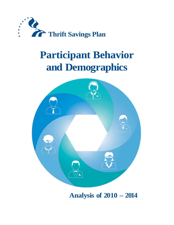

# **Participant Behavior and Demographics**



**Analysis of 2010 – 2014**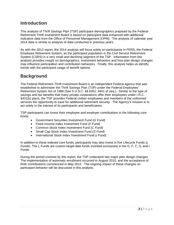#### **Introduction**

This analysis of Thrift Savings Plan (TSP) participant demographics prepared by the Federal Retirement Thrift Investment Board is based on participant data enhanced with additional indicative data from the Office of Personnel Management (OPM). The analysis of calendar year 2014 data is similar to analysis of data conducted in previous years.

As with the 2013 report, the 2014 analysis will focus solely on participants in FERS, the Federal Employee Retirement System, as the participant population in the Civil Service Retirement System (CSRS) is a very small and declining segment of the TSP. Information from this analysis provides insight on demographics, investment behaviors and how plan design changes may influence participation and contribution behaviors. Finally, this analysis helps us identify trends with the participant usage of benefit options.

## **Background**

The Federal Retirement Thrift Investment Board is an independent Federal agency that was established to administer the Thrift Savings Plan (TSP) under the Federal Employees' Retirement System Act of 1986 (See 5 U.S.C. §§ 8351; 8401 et seq.). Similar to the type of savings and tax benefits that many private corporations offer their employees under I.R.C. §401(k) plans, the TSP provides Federal civilian employees and members of the uniformed services the opportunity to save for additional retirement security. The Agency's mission is to act solely in the interest of its participants and beneficiaries.

TSP participants can invest their employee and employer contributions in the following core funds:

- Government Securities Investment Fund (*G Fund*)
- Fixed Income Index Investment Fund (*F Fund*)
- Common Stock Index Investment Fund (*C Fund*)
- Small Cap Stock Index Investment Fund (*S Fund*)
- International Stock Index Investment Fund (*I Fund*)

In addition to these indexed core funds, participants may also invest in five Lifecycle Funds (*L Funds*). The L Funds are custom target-date funds invested exclusively in the G, F, C, S, and I Funds.

During the period covered by this report, the TSP underwent two major plan design changes. The implementation of automatic enrollment occurred in August 2010, and the acceptance of Roth contributions commenced in May 2012. The ongoing impact of these changes on participant behavior will be discussed in this analysis.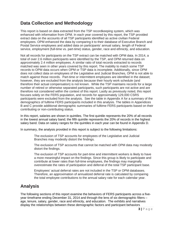### **Data Collection and Methodology**

This report is based on data extracted from the TSP recordkeeping system, which was enhanced with information from OPM. In each year covered by this report, the TSP provided extract data on the accounts of all TSP participants identified as active civilian Federal employees. OPM enhanced the data by comparing it to their database of Executive Branch and Postal Service employees and added data on participants' annual salary, length of Federal service, employment (full-time vs. part-time) status, gender, race and ethnicity, and education.

Not all records for participants on the TSP extract can be matched with OPM data. In 2014, a total of over 2.6 million participants were identified by the TSP, and OPM returned data on approximately 2.4 million employees. A similar ratio of total records extracted to records matched was seen in other years covered by this report. The inability to match some TSP records to OPM data occurs when OPM or TSP data is incomplete. Additionally, since OPM does not collect data on employees of the Legislative and Judicial Branches, OPM is not able to match against those records. Part-time or intermittent employees are identified in the dataset; however, they are excluded from the analysis because their hourly work schedule (and therefore their actual compensation) is not known. While the TSP maintains records for a large number of retired or otherwise separated participants, such participants are not active and are therefore not considered within the context of this report. Lastly as previously noted, this report focuses solely on the FERS population, and records for approximately 129,000 CSRS participants were excluded from the analysis. See the table in Appendix A for a summary of the demographics of fulltime FERS participants included in this analysis. The tables in Appendices B and C provide additional demographic summaries of fulltime FERS participants based on their contributing or non-contributing status.

In this report, salaries are shown in quintiles. The first quintile represents the 20% of all records in the lowest annual salary band; the fifth quintile represents the 20% of records in the highest salary band. Data on salary ranges for the quintiles in each year can be found in Appendix D.

In summary, the analysis provided in this report is subject to the following limitations:

The exclusion of TSP accounts for employees of the Legislative and Judicial Branches may modestly distort the findings.

The exclusion of TSP accounts that cannot be matched with OPM data may modestly distort the findings.

The exclusion of TSP accounts for part-time and intermittent workers is likely to have a more meaningful impact on the findings. Since this group is likely to participate and contribute at lower rates than full-time employees, the findings may marginally overestimate the rates of participation and deferral of the total TSP participant base.

Employees' actual deferral rates are not included in the TSP or OPM databases. Therefore, an approximation of annualized deferral rate is calculated by comparing the total employee contributions to the annual salary rate for each calendar year.

#### **Analysis**

The following sections of this report examine the behaviors of FERS participants across a fiveyear timeframe ending December 31, 2014 and through the lens of six demographic filters – age, tenure, salary, gender, race and ethnicity, and education. The exhibits and narratives display the relationships between these demographic factors and participant behaviors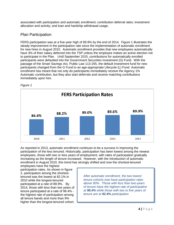associated with participation and automatic enrollment; contribution deferral rates; investment allocation and activity; and loan and hardship withdrawal usage.

#### Plan Participation

FERS participation was at a five-year high of 89.9% by the end of 2014. Figure 1 illustrates the steady improvement in the participation rate since the implementation of automatic enrollment for new hires in August 2010. Automatic enrollment provides that new employees automatically have 3% of their salary deferred into the TSP unless the employee makes an active election not to participate in the Plan. Until September 2015, contributions for automatically enrolled participants were defaulted into the Government Securities Investment (G) Fund. With the passage of the Smart Savings Act, Public Law 113-255, the default investment fund for new participants changed from the G Fund to an age-appropriate Lifecycle (L) Fund. Automatic enrollment has meant that not only do participants immediately receive the Agency 1% Automatic contribution, but they also start deferrals and receive matching contributions immediately upon hire.



*Figure 1*

As reported in 2013, automatic enrollment continues to be a success in improving the participation of the less tenured. Historically, participation has been lowest among the newest employees, those with two or less years of employment, with rates of participation gradually increasing as the length of tenure increased. However, with the introduction of automatic enrollment in August 2010, this trend has strongly shifted and now the shortest-tenured

employees have the highest participation rates. As shown in figure 2, participation among the shortesttenured was the lowest at 82.1% in 2010 while the longest-tenured participated at a rate of 89.9%. By 2014, those with less than two years of tenure participated at a rate of 98.4% the highest rate of participation among all tenure bands and more than 9% higher than the longest-tenured cohort.

*After automatic enrollment, the two lowest tenure cohorts now have participation rates above 90%. Those with less than two-years of tenure have the highest rate of participation at 98.4% while those with two to five years of tenure are at 92.4% participation*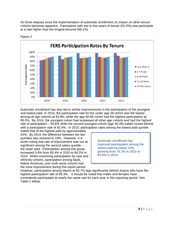As times elapses since the implementation of automatic enrollment, its impact on other tenure cohorts becomes apparent. Participants with two to five years of tenure (92.4%) now participate at a rate higher than the longest-tenured (89.1%)



*Figure 2*

Automatic enrollment has also led to similar improvements in the participation of the youngest and lowest-paid. In 2010, the participation rate for the under age 29 cohort was the lowest among all age cohorts at 83.9%, while the age 60-69 cohort had the highest participation at 89.0%. By 2014, the youngest cohort had surpassed all other age cohorts and had the highest rate of participation – 94.6% while the second youngest cohort (age 30-39) trailed closed behind with a participation rate of 92.4%. In 2010, participation rates among the lowest-paid quintile

trailed that of the highest paid by approximately 20%. By 2014, the difference between the two quintiles was reduced to 10%. However, it is worth noting that rate of improvement was not as significant among the second salary quintile – the lower paid. Participation among this group increased 0.8% from 83.4% in 2010 to 84.2% in 2014. When examining participation by race and ethnicity cohorts, participation among black, Native American, and multi-racial cohorts had the most improvement during this report period.

*Automatic enrollment has improved participation among the lowest paid by nearly 10%, growing from 76.2% in 2010 to 85.8% in 2014.*

However, participation among blacks at 83.7% lags significantly behind Asians who have the highest participation rate of 95.3%. It should be noted that males and females have consistently participated at nearly the same rate for each year in this reporting period. See Table 1 below: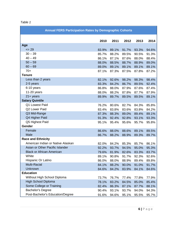| í<br>ч. |  |
|---------|--|
|---------|--|

| <b>Annual FERS Participation Rates by Demographic Cohorts</b> |       |       |       |       |       |  |  |  |  |
|---------------------------------------------------------------|-------|-------|-------|-------|-------|--|--|--|--|
|                                                               | 2010  | 2011  | 2012  | 2013  | 2014  |  |  |  |  |
| Age                                                           |       |       |       |       |       |  |  |  |  |
| $= 29$                                                        | 83.9% | 89.1% | 91.7% | 93.3% | 94.6% |  |  |  |  |
| $30 - 39$                                                     | 85.7% | 88.2% | 89.5% | 90.5% | 91.3% |  |  |  |  |
| $40 - 49$                                                     | 86.1% | 87.1% | 87.6% | 88.0% | 88.4% |  |  |  |  |
| $50 - 59$                                                     | 88.0% | 88.5% | 88.7% | 88.9% | 89.0% |  |  |  |  |
| $60 - 69$                                                     | 89.0% | 89.1% | 89.1% | 89.1% | 89.1% |  |  |  |  |
| $70+$                                                         | 87.1% | 87.3% | 87.5% | 87.8% | 87.2% |  |  |  |  |
| <b>Tenure</b>                                                 |       |       |       |       |       |  |  |  |  |
| Less than 2 years                                             | 82.1% | 92.6% | 98.2% | 98.3% | 98.4% |  |  |  |  |
| 2-5 years                                                     | 83.3% | 84.2% | 86.7% | 89.5% | 92.4% |  |  |  |  |
| 6-10 years                                                    | 86.8% | 88.0% | 87.9% | 87.6% | 87.4% |  |  |  |  |
| $11-20$ years                                                 | 88.0% | 88.2% | 87.8% | 87.7% | 87.9% |  |  |  |  |
| $21 + years$                                                  | 89.9% | 89.7% | 89.5% | 89.5% | 89.1% |  |  |  |  |
| <b>Salary Quintile</b>                                        |       |       |       |       |       |  |  |  |  |
| Q1 Lowest Paid                                                | 76.2% | 80.6% | 82.7% | 84.3% | 85.8% |  |  |  |  |
| Q2 Lower Paid                                                 | 83.4% | 83.8% | 83.6% | 83.8% | 84.2% |  |  |  |  |
| Q3 Mid-Range                                                  | 87.3% | 88.3% | 89.0% | 89.4% | 89.1% |  |  |  |  |
| Q4 Higher Paid                                                | 91.3% | 92.4% | 92.8% | 93.1% | 93.3% |  |  |  |  |
| Q5 Highest Paid                                               | 95.1% | 95.4% | 95.6% | 95.7% | 95.8% |  |  |  |  |
| Gender                                                        |       |       |       |       |       |  |  |  |  |
| Female                                                        | 86.6% | 88.0% | 88.6% | 89.1% | 89.5% |  |  |  |  |
| Male                                                          | 86.7% | 88.2% | 88.9% | 89.3% | 89.7% |  |  |  |  |
| <b>Race and Ethnicity</b>                                     |       |       |       |       |       |  |  |  |  |
| American Indian or Native Alaskan                             | 82.0% | 84.2% | 85.3% | 85.7% | 86.1% |  |  |  |  |
| Asian or Other Pacific Islander                               | 92.2% | 93.7% | 94.5% | 95.0% | 95.3% |  |  |  |  |
| <b>Black or African American</b>                              | 79.6% | 81.9% | 82.6% | 83.3% | 83.7% |  |  |  |  |
| White                                                         | 89.1% | 90.8% | 91.7% | 92.3% | 92.6% |  |  |  |  |
| Hispanic Or Latino                                            | 86.0% | 88.0% | 88.9% | 89.4% | 89.8% |  |  |  |  |
| <b>Multi-Racial</b>                                           | 84.1% | 88.2% | 90.0% | 91.0% | 91.7% |  |  |  |  |
| Unknown                                                       | 84.6% | 84.2% | 83.9% | 84.1% | 84.6% |  |  |  |  |
| <b>Education</b>                                              |       |       |       |       |       |  |  |  |  |
| Without High School Diploma                                   | 73.7% | 76.7% | 77.4% | 77.8% | 77.9% |  |  |  |  |
| <b>High School Diploma</b>                                    | 78.1% | 83.2% | 84.5% | 85.0% | 85.4% |  |  |  |  |
| Some College or Training                                      | 82.4% | 86.3% | 87.1% | 87.7% | 88.1% |  |  |  |  |
| <b>Bachelor's Degree</b>                                      | 90.4% | 93.1% | 93.7% | 94.0% | 94.3% |  |  |  |  |
| Post-Bachelor's Education/Degree                              | 91.6% | 94.6% | 95.1% | 95.5% | 95.7% |  |  |  |  |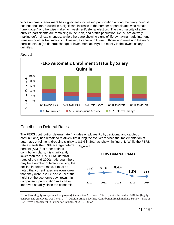While automatic enrollment has significantly increased participation among the newly hired, it has not, thus far, resulted in a significant increase in the number of participants who remain "unengaged" or otherwise make no investment/deferral election. The vast majority of autoenrolled participants are remaining in the Plan, and of this population, 62.3% are actively making deferral rate changes, while others are showing signs of life by having made interfund transfers or other transactions. However, as shown in figure 3, those who remain in the autoenrolled status (no deferral change or investment activity) are mostly in the lowest salary quintiles.





#### Contribution Deferral Rates

The FERS contribution deferral rate (includes employee Roth, traditional and catch-up contributions) has remained relatively flat during the five years since the implementation of automatic enrollment, dropping slightly to 8.1% in 2014 as shown in figure 4. While the FERS

rate exceeds the 5.9% average deferral percent  $(ADP)<sup>1</sup>$  $(ADP)<sup>1</sup>$  $(ADP)<sup>1</sup>$  of other defined contribution plans, it is significantly lower than the 9.5% FERS deferral rates of the mid-2000s. Although there may be a number of factors causing the decline in deferral rates, it must be noted that current rates are even lower than they were in 2008 and 2009 at the height of the economic downtown. In comparison, participation rates have improved steadily since the economic

 $\overline{a}$ 



<span id="page-6-0"></span><sup>&</sup>lt;sup>1</sup> "For [Non-highly compensated employees], the median ADP was  $5.9\%$  . . ., while the median ADP for [highly compensated employees was 7.0%. . . ." Deloitte, Annual Defined Contribution Benchmarking Survey – Ease of Use Drives Engagement in Saving for Retirement, 2015 Edition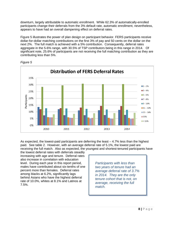downturn, largely attributable to automatic enrollment. While 62.3% of automatically-enrolled participants change their deferrals from the 3% default rate, automatic enrollment, nevertheless, appears to have had an overall dampening effect on deferral rates.

Figure 5 illustrates the power of plan design on participant behavior. FERS participants receive dollar-for-dollar matching contributions on the first 3% of pay and 50 cents on the dollar on the next 2%. The full match is achieved with a 5% contribution. Consequently, deferral rates aggregate in the 5-6% range, with 30.5% of TSP contributors being in this range in 2014. Of significant note, 25.6% of participants are not receiving the full matching contribution as they are contributing less than 5%.



*Figure 5*

As expected, the lowest-paid participants are deferring the least  $-4.7\%$  less than the highest paid. See table 2. However, with an average deferral rate of 5.1%, the lowest paid are receiving the full match. Also as expected, the youngest and shortest-tenured participants have

the lowest deferral rates with deferrals steadily increasing with age and tenure. Deferral rates also increase in correlation with education level. During each year in this report period, males have contributed about six-tenths of one percent more than females. Deferral rates among blacks at 6.2%, significantly lags behind Asians who have the highest deferral rate of 10.0%, whites at 8.1% and Latinos at 7.5%.

*Participants with less than two years of tenure had an average deferral rate of 3.7% in 2014. They are the only tenure cohort that is not, on average, receiving the full match.*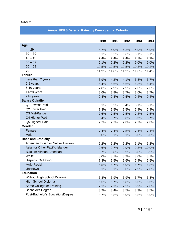| ١,<br>,<br>π. |  |
|---------------|--|
|---------------|--|

| <b>Annual FERS Deferral Rates by Demographic Cohorts</b> |       |       |       |       |       |  |  |  |
|----------------------------------------------------------|-------|-------|-------|-------|-------|--|--|--|
|                                                          | 2010  | 2011  | 2012  | 2013  | 2014  |  |  |  |
| Age                                                      |       |       |       |       |       |  |  |  |
| $= 29$                                                   | 4.7%  | 5.0%  | 5.2%  | 4.9%  | 4.9%  |  |  |  |
| $30 - 39$                                                | 6.1%  | 6.2%  | 6.3%  | 6.1%  | 6.1%  |  |  |  |
| $40 - 49$                                                | 7.4%  | 7.4%  | 7.4%  | 7.1%  | 7.2%  |  |  |  |
| $50 - 59$                                                | 9.1%  | 9.2%  | 9.2%  | 9.0%  | 9.0%  |  |  |  |
| $60 - 69$                                                | 10.5% | 10.5% | 10.5% | 10.3% | 10.2% |  |  |  |
| $70+$                                                    | 11.9% | 11.8% | 11.9% | 11.6% | 11.4% |  |  |  |
| <b>Tenure</b>                                            |       |       |       |       |       |  |  |  |
| Less than 2 years                                        | 3.9%  | 4.2%  | 4.1%  | 3.8%  | 3.7%  |  |  |  |
| 2-5 years                                                | 6.4%  | 6.6%  | 6.6%  | 6.3%  | 6.4%  |  |  |  |
| 6-10 years                                               | 7.8%  | 7.9%  | 7.9%  | 7.6%  | 7.6%  |  |  |  |
| $11-20$ years                                            | 8.6%  | 8.8%  | 8.7%  | 8.6%  | 8.7%  |  |  |  |
| $21 + years$                                             | 9.4%  | 9.4%  | 9.5%  | 9.4%  | 9.4%  |  |  |  |
| <b>Salary Quintile</b>                                   |       |       |       |       |       |  |  |  |
| Q1 Lowest Paid                                           | 5.1%  | 5.2%  | 5.4%  | 5.1%  | 5.1%  |  |  |  |
| Q2 Lower Paid                                            | 7.3%  | 7.5%  | 7.5%  | 7.4%  | 7.4%  |  |  |  |
| Q3 Mid-Range                                             | 7.6%  | 7.5%  | 7.5%  | 7.3%  | 7.5%  |  |  |  |
| Q4 Higher Paid                                           | 8.4%  | 8.7%  | 8.8%  | 8.6%  | 8.7%  |  |  |  |
| Q5 Highest Paid                                          | 9.7%  | 9.7%  | 9.8%  | 9.7%  | 9.8%  |  |  |  |
| Gender                                                   |       |       |       |       |       |  |  |  |
| Female                                                   | 7.4%  | 7.4%  | 7.5%  | 7.4%  | 7.4%  |  |  |  |
| Male                                                     | 8.0%  | 8.1%  | 8.1%  | 8.0%  | 8.0%  |  |  |  |
| <b>Race and Ethnicity</b>                                |       |       |       |       |       |  |  |  |
| American Indian or Native Alaskan                        | 6.2%  | 6.2%  | 6.2%  | 6.1%  | 6.2%  |  |  |  |
| Asian or Other Pacific Islander                          | 9.6%  | 9.7%  | 9.9%  | 9.8%  | 10.0% |  |  |  |
| <b>Black or African American</b>                         | 5.7%  | 5.8%  | 5.9%  | 5.8%  | 5.9%  |  |  |  |
| White                                                    | 8.0%  | 8.1%  | 8.2%  | 8.0%  | 8.1%  |  |  |  |
| Hispanic Or Latino                                       | 7.3%  | 7.5%  | 7.6%  | 7.4%  | 7.5%  |  |  |  |
| Multi-Racial                                             | 6.5%  | 6.7%  | 6.9%  | 6.7%  | 6.8%  |  |  |  |
| Unknown                                                  | 8.1%  | 8.1%  | 8.0%  | 7.9%  | 7.8%  |  |  |  |
| <b>Education</b>                                         |       |       |       |       |       |  |  |  |
| Without High School Diploma                              | 5.8%  | 5.9%  | 5.9%  | 5.7%  | 5.8%  |  |  |  |
| <b>High School Diploma</b>                               | 6.6%  | 6.7%  | 6.8%  | 6.5%  | 6.6%  |  |  |  |
| Some College or Training                                 | 7.1%  | 7.1%  | 7.2%  | 6.9%  | 7.0%  |  |  |  |
| <b>Bachelor's Degree</b>                                 | 8.2%  | 8.4%  | 8.5%  | 8.3%  | 8.5%  |  |  |  |
| Post-Bachelor's Education/Degree                         | 8.7%  | 8.8%  | 8.9%  | 8.8%  | 8.9%  |  |  |  |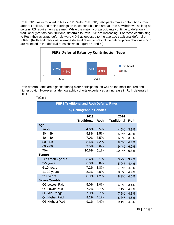Roth TSP was introduced in May 2012. With Roth TSP, paticipants make contributions from after-tax dollars, and their earnings on these contributions are tax-free at withdrawal as long as certain IRS requirements are met. While the majority of participants continue to defer only traditional (pre-tax) contributions, deferrals to Roth TSP are increasing. For those contributing to Roth, their average deferrals were 4.9% as opposed to the average traditional deferral of 7.6%. (Roth and traditional average deferral rates do not include catch-up contributions which are reflected in the deferral rates shown in Figures 4 and 5.)



Roth deferral rates are highest among older participants, as well as the most-tenured and highest-paid. However, all demographic cohorts experienced an increase in Roth deferrals in 2014.

| <b>FERS Traditional and Roth Deferral Rates</b> |                    |      |                    |      |  |  |  |  |  |  |
|-------------------------------------------------|--------------------|------|--------------------|------|--|--|--|--|--|--|
| by Demographic Cohorts                          |                    |      |                    |      |  |  |  |  |  |  |
| 2013<br>2014                                    |                    |      |                    |      |  |  |  |  |  |  |
|                                                 | <b>Traditional</b> | Roth | <b>Traditional</b> | Roth |  |  |  |  |  |  |
| Age                                             |                    |      |                    |      |  |  |  |  |  |  |
| $= 29$                                          | 4.6%               | 3.5% | 4.5%               | 3.9% |  |  |  |  |  |  |
| $30 - 39$                                       | 5.8%               | 3.5% | 5.8%               | 3.9% |  |  |  |  |  |  |
| $40 - 49$                                       | $7.0\%$            | 3.5% | 6.9%               | 3.9% |  |  |  |  |  |  |
| $50 - 59$                                       | 8.4%               | 4.2% | 8.4%               | 4.7% |  |  |  |  |  |  |
| $60 - 69$                                       | 9.5%               | 5.6% | 9.4%               | 6.0% |  |  |  |  |  |  |
| $70+$                                           | 10.6%              | 6.1% | 10.4%              | 6.8% |  |  |  |  |  |  |
| <b>Tenure</b>                                   |                    |      |                    |      |  |  |  |  |  |  |
| Less than 2 years                               | 3.4%               | 3.1% | 3.2%               | 3.2% |  |  |  |  |  |  |
| 2-5 years                                       | 6.0%               | 3.8% | 5.9%               | 4.4% |  |  |  |  |  |  |
| 6-10 years                                      | 7.2%               | 3.8% | 7.2%               | 4.2% |  |  |  |  |  |  |
| 11-20 years                                     | 8.2%               | 4.0% | 8.3%               | 4.4% |  |  |  |  |  |  |
| $21 + years$                                    | 8.9%               | 4.2% | 8.9%               | 4.6% |  |  |  |  |  |  |
| <b>Salary Quintile</b>                          |                    |      |                    |      |  |  |  |  |  |  |
| Q1 Lowest Paid                                  | 5.0%               | 3.0% | 4.8%               | 3.4% |  |  |  |  |  |  |
| Q2 Lower Paid                                   | $7.2\%$            | 3.7% | 7.1%               | 4.1% |  |  |  |  |  |  |
| Q3 Mid-Range                                    | 7.0%               | 3.7% | 7.2%               | 4.3% |  |  |  |  |  |  |
| Q4 Higher Paid                                  | 8.2%               | 4.1% | 8.3%               | 4.5% |  |  |  |  |  |  |
| Q5 Highest Paid                                 | 9.1%               | 4.4% | 9.1%               | 4.8% |  |  |  |  |  |  |

 *Table 3*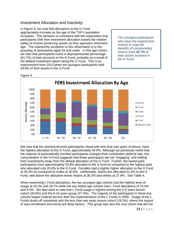#### Investment Allocation and Inactivity

In Figure 6, we note that allocations to the G Fund appropriately increase as the age of the TSP's population increases. This behavior is consistent with the expectation that participants shift their investment allocation toward the relative safety of income producing assets as they approach retirement age. The noteworthy exception to this observation is in the grouping of participants aged 29 and under. In this age cohort, we note that participants invest a disproportionate percentage (41.7%) of their accounts in the G Fund, probably as a result of the default investment option being the G Fund. This is an improvement from 2013 when the youngest participants held 43.6% of their assets in the G Fund.

*The youngest participants who have the longest time horizon to reap the benefits of compounding returns have 41.7% of their assets invested in the G Fund.*



We note that the shortest-tenured participants, those with less than two years of tenure, have the highest allocation to the G Fund, approximately 54.9%. Although we previously noted that the majority of automatically enrolled participants changed their contribution deferral rate, this concentration in the G Fund suggests that these participants are not "engaging" and shifting their investments away from the default allocation of the G Fund. Further, the lowest-paid participants have approximately 53.8% allocated to the G fund as compared to the highest paid who allocated only 25.6% to the G Fund. Females had a slightly higher allocation to the G Fund at 34.4% as compared to males at 30.8%. Additionally, blacks are allocated 41.4% to the G Fund, well above the allocation levels Asians at 30.2% and whites at 27.9%. See Table 4.

When examining L Fund allocations, the two youngest age cohorts had the highest level of usage at 29.2% and 28.7% while the two oldest age cohorts had L Fund allocations of 14.0% and 8.5%. We also want to note that L Fund usage is highest among the 2-5 years tenure cohort (26.8%) and the 6-10 years group (27.3%). The majority of the participants in these two cohorts began Federal service after the implementation of the L Funds in 2005. Usage of the L Funds drops off somewhat with the less than two years tenure cohort (19.2%), where the impact of auto-enrollment and inertia are likely factors. This group was also the only cohort that did not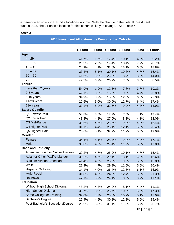experience an uptick in L Fund allocations in 2014. With the change to the default investment fund in 2015, the L Funds allocation for this cohort is likely to change. See Table 4.

| 2014 Investment Allocations by Demographic Cohorts |               |               |               |               |        |                |  |  |  |
|----------------------------------------------------|---------------|---------------|---------------|---------------|--------|----------------|--|--|--|
|                                                    | <b>G</b> Fund | <b>F</b> Fund | <b>C</b> Fund | <b>S</b> Fund | I Fund | <b>L</b> Funds |  |  |  |
| Age                                                |               |               |               |               |        |                |  |  |  |
| $= 29$                                             | 41.7%         | 1.7%          | 12.4%         | 10.1%         | 4.9%   | 29.2%          |  |  |  |
| $30 - 39$                                          | 28.2%         | 2.7%          | 19.4%         | 13.4%         | 7.7%   | 28.7%          |  |  |  |
| $40 - 49$                                          | 24.9%         | 4.1%          | 32.6%         | 13.1%         | 6.5%   | 18.8%          |  |  |  |
| $50 - 59$                                          | 33.4%         | 5.1%          | 30.1%         | 10.3%         | 4.7%   | 16.4%          |  |  |  |
| $60 - 69$                                          | 41.6%         | 6.0%          | 26.2%         | 8.4%          | 3.8%   | 14.0%          |  |  |  |
| $70+$                                              | 47.5%         | 6.2%          | 26.9%         | 7.5%          | 3.3%   | 8.5%           |  |  |  |
| <b>Tenure</b>                                      |               |               |               |               |        |                |  |  |  |
| Less than 2 years                                  | 54.9%         | 1.9%          | 12.5%         | 7.8%          | 3.7%   | 19.2%          |  |  |  |
| 2-5 years                                          | 42.1%         | 3.0%          | 13.6%         | 9.9%          | 4.7%   | 26.8%          |  |  |  |
| 6-10 years                                         | 34.9%         | 3.2%          | 15.8%         | 12.0%         | 6.8%   | 27.3%          |  |  |  |
| 11-20 years                                        | 27.6%         | 5.0%          | 30.9%         | 12.7%         | 6.4%   | 17.4%          |  |  |  |
| $21 + years$                                       | 33.1%         | 5.2%          | 32.6%         | 9.9%          | 4.3%   | 14.9%          |  |  |  |
| <b>Salary Quintile</b>                             |               |               |               |               |        |                |  |  |  |
| Q1 Lowest Paid                                     | 53.8%         | 3.5%          | 17.7%         | 7.5%          | 4.1%   | 13.4%          |  |  |  |
| Q2 Lower Paid                                      | 43.8%         | 4.8%          | 27.0%         | 8.3%          | 4.1%   | 12.0%          |  |  |  |
| Q3 Mid-Range                                       | 38.6%         | 4.6%          | 25.6%         | 9.9%          | 4.9%   | 16.4%          |  |  |  |
| Q4 Higher Paid                                     | 31.1%         | 4.4%          | 26.1%         | 12.1%         | 5.9%   | 20.4%          |  |  |  |
| Q5 Highest Paid                                    | 25.6%         | 5.1%          | 32.9%         | 11.9%         | 5.5%   | 19.0%          |  |  |  |
| Gender                                             |               |               |               |               |        |                |  |  |  |
| Female                                             | 34.4%         | 5.1%          | 28.4%         | 9.4%          | 4.9%   | 17.7%          |  |  |  |
| Male                                               | 30.8%         | 4.5%          | 29.4%         | 11.9%         | 5.5%   | 17.8%          |  |  |  |
| <b>Race and Ethnicity</b>                          |               |               |               |               |        |                |  |  |  |
| American Indian or Native Alaskan                  | 39.2%         | 4.7%          | 25.9%         | 10.1%         | 4.7%   | 15.4%          |  |  |  |
| Asian or Other Pacific Islander                    | 30.2%         | 4.6%          | 29.1%         | 13.1%         | 6.3%   | 16.6%          |  |  |  |
| <b>Black or African American</b>                   | 41.4%         | 4.7%          | 25.5%         | 9.6%          | 5.0%   | 13.8%          |  |  |  |
| White                                              | 27.9%         | 4.7%          | 29.9%         | 11.5%         | 5.5%   | 20.4%          |  |  |  |
| Hispanic Or Latino                                 | 34.1%         | 4.0%          | 26.4%         | 12.5%         | 6.1%   | 16.9%          |  |  |  |
| Multi-Racial                                       | 31.8%         | 4.2%          | 24.2%         | 12.4%         | 6.2%   | 21.3%          |  |  |  |
| Unknown                                            | 42.1%         | 5.2%          | 29.1%         | 8.5%          | 3.9%   | 11.1%          |  |  |  |
| <b>Education</b>                                   |               |               |               |               |        |                |  |  |  |
| Without High School Diploma                        | 48.2%         | 4.3%          | 24.0%         | 8.1%          | 4.4%   | 11.1%          |  |  |  |
| <b>High School Diploma</b>                         | 38.7%         | 3.9%          | 23.7%         | 10.9%         | 5.5%   | 17.3%          |  |  |  |
| Some College or Training                           | 37.0%         | 4.3%          | 25.6%         | 10.9%         | 5.1%   | 17.0%          |  |  |  |
| <b>Bachelor's Degree</b>                           | 27.4%         | 4.5%          | 30.8%         | 12.2%         | 5.6%   | 19.4%          |  |  |  |
| Post-Bachelor's Education/Degree                   | 25.9%         | 5.3%          | 31.1%         | 11.3%         | 5.7%   | 20.7%          |  |  |  |

#### *Table 4*

**12 |** Page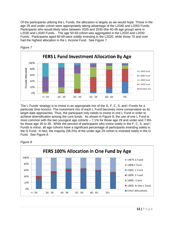Of the participants utilizing the L Funds, the allocation is largely as we would hope. Those in the age 29 and under cohort were appropriately taking advantage of the L2040 and L2050 Funds. Participants who would likely retire between 2025 and 2035 (the 40-49 age group) were in L2030 and L2040 Funds. The age 50-59 cohort was aggregated in the L2020 and L2030 Funds. Participants aged 60-69 were solidly investing in the L2020, while those 70 and over had the highest allocation in the L Income Fund. See Figure 7.



*Figure 7*

The L Funds' strategy is to invest in an appropriate mix of the G, F, C, S, and I Funds for a particular time horizon. The investment mix of each L Fund becomes more conservative as its target date approaches. Thus, the participant only needs to invest in one L Fund in order to achieve diversification among the core funds. As shown in Figure 8, the use of one L Fund is most common with the two youngest age cohorts – 7.1% for those age 29 and under and 7.9% for those age 30 to 39. While the percent of participants who invest solely in the F, C, S, and I Funds is minor, all age cohorts have a significant percentage of participants investing solely in the G Fund. In fact, the majority (58.2%) of the under age 29 cohort is invested solely in the G Fund. See Figure 8.



*Figure 8*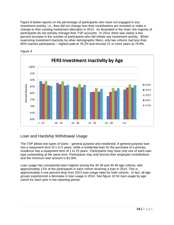Figure 9 below reports on the percentage of participants who have not engaged in any investment activity, i.e., they did not change how their contributions are invested or make a change to their existing investment allocation in 2014. As illustrated in the chart, the majority of participants do not actively manage their TSP accounts. In 2014, there was nearly a two percent increase in the number of participants who did initiate any investment activity. When examining investment inactivity by other demographic filters, only two cohorts had less than 80% inactive participants – highest paid at 78.2% and tenured 21 or more years at 79.9%.





#### Loan and Hardship Withdrawal Usage

The TSP allows two types of loans – general purpose and residential. A general purpose loan has a repayment term of 1 to 5 years, while a residential loan for the purchase of a primary residence has a repayment term of 1 to 15 years. Participants may have only one of each loan type outstanding at the same time. Participants may only borrow their employee contributions and the minimum loan amount is \$1,000.

Loan usage has consistently been highest among the 30-39 and 40-49 age cohorts, with approximately 11% of the participants in each cohort receiving a loan in 2014. This is approximately a one percent drop from 2013 loan usage rates for both cohorts. In fact, all age groups experienced a decrease in loan usage in 2014. See figure 10 for loan usage by age cohort for each year in the reporting period.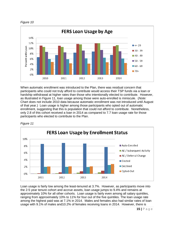



When automatic enrollment was introduced to the Plan, there was residual concern that participants who could not truly afford to contribute would access their TSP funds via a loan or hardship withdrawal at higher rates than those who intentionally elected to contribute. However, as illustrated in Figure 11, loan usage among those were auto-enrolled is miniscule. (*Note:* Chart does not include 2010 data because automatic enrollment was not introduced until August of that year.) Loan usage is higher among those participants who opted out of automatic enrollment, suggesting that this is population that could not afford to contribute. Nonetheless, only 2.8 of this cohort received a loan in 2014 as compared to 7.7 loan usage rate for those participants who elected to contribute to the Plan.



*Figure 11*

Loan usage is fairly low among the least-tenured at 3.7%. However, as participants move into the 2-5 year tenure cohort and accrue assets, loan usage jumps to 9.4% and remains at approximately 10% for all other cohorts. Loan usage is fairly even among all salary quintiles, ranging from approximately 10% to 11% for four out of the five quintiles. The loan usage rate among the highest paid was at 7.1% in 2014. Males and females also had similar rates of loan usage with 9.1% of males and10.2% of females receiving loans in 2014. However, there is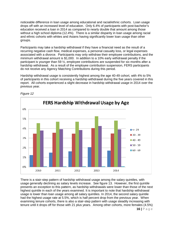noticeable difference in loan usage among educational and racial/ethnic cohorts. Loan usage drops off with an increased level of education. Only 6.4% of participants with post-bachelor's education received a loan in 2014 as compared to nearly double that amount among those without a high school diploma (12.4%). There is a similar disparity in loan usage among racial and ethnic cohorts with whites and Asians having significantly lower loan usage than other groups.

Participants may take a hardship withdrawal if they have a financial need as the result of a recurring negative cash flow, medical expenses, a personal casualty loss, or legal expenses associated with a divorce. Participants may only withdraw their employee contributions, and the minimum withdrawal amount is \$1,000. In addition to a 10% early withdrawal penalty if the participant is younger than 59 ½, employee contributions are suspended for six months after a hardship withdrawal. As a result of the employee contribution suspension, FERS participants do not receive any Agency Matching Contributions during this period.

Hardship withdrawal usage is consistently highest among the age 40-49 cohort, with 4% to 5% of participants in this cohort receiving a hardship withdrawal during the five years covered in this report. All cohorts experienced a slight decrease in hardship withdrawal usage in 2014 over the previous year.



#### *Figure 12*

There is a stair-step pattern of hardship withdrawal usage among the salary quintiles, with usage generally declining as salary levels increase. See figure 13. However, the first quintile presents an exception to this pattern, as hardship withdrawals were lower than those of the next highest quintile in each of the years examined. It is important to note that hardship withdrawal usage is lower than loan usage among all salary quintiles. In 2014, the second salary quintile had the highest usage rate at 5.5%, which is half percent drop from the previous year. When examining tenure cohorts, there is also a stair-step pattern with usage steadily increasing with tenure until it drops off for those with 21 plus years. Among other cohorts, more females (4.5%)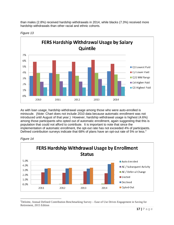than males (2.8%) received hardship withdrawals in 2014, while blacks (7.3%) received more hardship withdrawals than other racial and ethnic cohorts.





As with loan usage, hardship withdrawal usage among those who were auto-enrolled is miniscule. (*Note:* Chart does not include 2010 data because automatic enrollment was not introduced until August of that year.) However, hardship withdrawal usage is highest (4.6%) among those participants who opted out of automatic enrollment, again suggesting that this is population that could not afford to contribute. It is important to note that since the implementation of automatic enrollment, the opt-out rate has not exceeded 4% of participants. Defined contribution surveys indicate that 68% of plans have an opt-out rate of 5% or less.<sup>[2](#page-16-0)</sup>



*Figure 14*

<span id="page-16-0"></span><sup>2</sup>Deloitte, Annual Defined Contribution Benchmarking Survey – Ease of Use Drives Engagement in Saving for Retirement, 2015 Edition  $\overline{a}$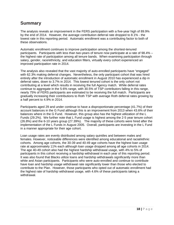#### **Summary**

The analysis reveals an improvement in the FERS participation with a five-year high of 89.9% by the end of 2014. However, the average contribution deferral rate dropped to 8.1% - the lowest rate in this reporting period. Automatic enrollment was a contributing factor to both of these observations.

Automatic enrollment continues to improve participation among the shortest-tenured participants. Participants with less than two-years of tenure now participate at a rate of 98.4% – the highest rate of participation among all tenure bands. When examining participation through salary, gender, race/ethnicity, and education filters, virtually every cohort experienced an improved participation rate in 2014.

The analysis also revealed that the vast majority of auto-enrolled participants have "engaged" with 62.3% making deferral changes. Nevertheless, the only participant cohort that was hired entirely after the introduction of automatic enrollment in August 2010 has experienced a dip in deferral rates, down to 3.7% in 2014. This lowest tenured cohort is the only cohort not contributing at a level which results in receiving the full Agency match. While deferral rates continue to aggregate in the 5-6% range, with 30.5% of TSP contributors falling in this range, nearly 75% of FERS participants are estimated to be receiving the full match. Participants are gradually increasing their contributions to Roth TSP with average Roth deferral rates growing by a half percent to 4.9% in 2014.

Participants aged 29 and under continue to have a disproportionate percentage (41.7%) of their account balances in the G Fund although this is an improvement from 2013 when 43.6% of their balances where in the G Fund. However, this group also has the highest utilization of the L Funds (29.2%). We further note that L Fund usage is highest among the 2-5 year tenure cohort (26.8%) and the 6-10 years group (27.39%). The majority of these cohorts were hired after the implementation of the L Funds in August 2005. Overall, participants are investing in the L Fund in a manner appropriate for their age cohort.

Loan usage rates are evenly distributed among salary quintiles and between males and females. However, noticeable differences were identified among educational and racial/ethnic cohorts. Among age cohorts, the 30-39 and 40-49 age cohorts have the highest loan usage rate at approximately 11% each although loan usage dropped among all age cohorts in 2014. The age 40-49 cohort also had the highest hardship withdrawal usage, with 4% to 5% of participants in this cohort receiving a hardship withdrawal in each year of this reporting period. It was also found that Blacks utilize loans and hardship withdrawals significantly more than white and Asian participants. Participants who were auto-enrolled and continue to contribute have loan and hardship usage withdrawal rate significantly lower than those who elected to contribute to the Plan. However, those participants who opted out of automatic enrollment had the highest rate of hardship withdrawal usage, with 4.6% of these participants taking a withdrawal.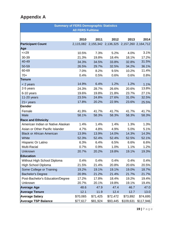## **Appendix A**

|                                   | <b>Summary of FERS Demographic Statistics</b> |                                                   |          |           |           |  |  |  |  |  |
|-----------------------------------|-----------------------------------------------|---------------------------------------------------|----------|-----------|-----------|--|--|--|--|--|
| <b>All FERS Fulltime</b>          |                                               |                                                   |          |           |           |  |  |  |  |  |
|                                   |                                               |                                                   |          |           |           |  |  |  |  |  |
|                                   | 2010                                          | 2011                                              | 2012     | 2013      | 2014      |  |  |  |  |  |
| <b>Participant Count</b>          |                                               | 2,115,082 2,155,342 2,136,325 2,157,260 2,164,712 |          |           |           |  |  |  |  |  |
| Age                               |                                               |                                                   |          |           |           |  |  |  |  |  |
| $=29$                             | 10.5%                                         | 7.3%                                              | 5.2%     | 4.0%      | 3.1%      |  |  |  |  |  |
| 30-39                             | 21.3%                                         | 19.8%                                             | 18.4%    | 18.1%     | 17.2%     |  |  |  |  |  |
| 40-49                             | 34.3%                                         | 34.5%                                             | 33.8%    | 32.8%     | 31.5%     |  |  |  |  |  |
| 50-59                             | 26.5%                                         | 29.7%                                             | 32.5%    | 34.2%     | 36.1%     |  |  |  |  |  |
| 60-69                             | 7.0%                                          | 8.2%                                              | 9.5%     | 10.2%     | 11.4%     |  |  |  |  |  |
| $70+$                             | 0.4%                                          | 0.5%                                              | 0.6%     | 0.6%      | 0.8%      |  |  |  |  |  |
| Tenure                            |                                               |                                                   |          |           |           |  |  |  |  |  |
| $<$ 2 years                       | 14.9%                                         | 6.4%                                              | 1.2%     | 1.2%      | 1.1%      |  |  |  |  |  |
| 2-5 years                         | 24.3%                                         | 28.7%                                             | 26.6%    | 20.6%     | 13.8%     |  |  |  |  |  |
| 6-10 years                        | 19.6%                                         | 19.8%                                             | 21.8%    | 23.7%     | 27.1%     |  |  |  |  |  |
| 11-20 years                       | 23.5%                                         | 24.8%                                             | 27.6%    | 31.0%     | 32.5%     |  |  |  |  |  |
| $21 + years$                      | 17.8%                                         | 20.2%                                             | 22.9%    | 23.6%     | 25.5%     |  |  |  |  |  |
| Gender                            |                                               |                                                   |          |           |           |  |  |  |  |  |
| Female                            | 41.9%                                         | 41.7%                                             | 41.7%    | 41.7%     | 41.7%     |  |  |  |  |  |
| Male                              | 58.1%                                         | 58.3%                                             | 58.3%    | 58.3%     | 58.3%     |  |  |  |  |  |
| <b>Race and Ethnicity</b>         |                                               |                                                   |          |           |           |  |  |  |  |  |
| American Indian or Native Alaskan | 1.4%                                          | 1.4%                                              | 1.4%     | 1.3%      | 1.3%      |  |  |  |  |  |
| Asian or Other Pacific Islander   | 4.7%                                          | 4.8%                                              | 4.9%     | 5.0%      | 5.1%      |  |  |  |  |  |
| <b>Black or African American</b>  | 13.9%                                         | 13.9%                                             | 14.0%    | 14.3%     | 14.3%     |  |  |  |  |  |
| White                             | 52.3%                                         | 52.4%                                             | 52.4%    | 52.5%     | 52.1%     |  |  |  |  |  |
| Hispanic Or Latino                | 6.3%                                          | 6.4%                                              | 6.5%     | 6.6%      | 6.6%      |  |  |  |  |  |
| Multi-Racial                      | 0.7%                                          | 0.9%                                              | 1.0%     | 1.1%      | 1.2%      |  |  |  |  |  |
| Unknown                           | 20.7%                                         | 20.2%                                             | 19.8%    | 19.1%     | 19.3%     |  |  |  |  |  |
| <b>Education</b>                  |                                               |                                                   |          |           |           |  |  |  |  |  |
| Without High School Diploma       | 0.4%                                          | 0.4%                                              | 0.4%     | 0.4%      | 0.4%      |  |  |  |  |  |
| High School Diploma               | 21.5%                                         | 21.4%                                             | 20.8%    | 20.6%     | 20.5%     |  |  |  |  |  |
| Some College or Training          | 19.2%                                         | 19.1%                                             | 19.1%    | 19.0%     | 18.7%     |  |  |  |  |  |
| <b>Bachelor's Degree</b>          | 20.9%                                         | 21.2%                                             | 21.4%    | 21.7%     | 21.7%     |  |  |  |  |  |
| Post-Bachelor's Education/Degree  | 17.2%                                         | 17.8%                                             | 18.4%    | 19.2%     | 19.4%     |  |  |  |  |  |
| Unknown                           | 20.7%                                         | 20.1%                                             | 19.8%    | 19.1%     | 19.4%     |  |  |  |  |  |
| <b>Average Age</b>                | 48.6                                          | 47.9                                              | 47.4     | 46.7      | 47.0      |  |  |  |  |  |
| <b>Average Tenure</b>             | 12.1                                          | 11.9                                              | 12.4     | 12.7      | 13.0      |  |  |  |  |  |
| <b>Average Salary</b>             | \$70,065                                      | \$71,425                                          | \$72,472 | \$73,892  | \$74,695  |  |  |  |  |  |
| <b>Average TSP Balance</b>        | \$77,617                                      | \$81,924                                          | \$93,445 | \$109,631 | \$117,946 |  |  |  |  |  |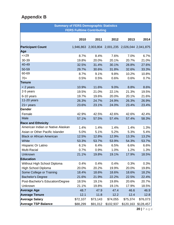## **Appendix B**

| <b>Summary of FERS Demographic Statistics</b> |          |                                                   |           |           |           |  |  |  |  |  |
|-----------------------------------------------|----------|---------------------------------------------------|-----------|-----------|-----------|--|--|--|--|--|
| <b>FERS Fulltime Contributing</b>             |          |                                                   |           |           |           |  |  |  |  |  |
|                                               |          |                                                   |           |           |           |  |  |  |  |  |
|                                               | 2010     | 2011                                              | 2012      | 2013      | 2014      |  |  |  |  |  |
| <b>Participant Count</b><br>Age               |          | 1,946,863 2,003,804 2,001,235 2,026,044 2,041,875 |           |           |           |  |  |  |  |  |
| $=29$                                         | 8.7%     | 8.4%                                              | 7.6%      | 7.0%      | 6.7%      |  |  |  |  |  |
| 30-39                                         | 19.8%    | 20.0%                                             | 20.1%     | 20.7%     | 21.0%     |  |  |  |  |  |
| 40-49                                         | 32.5%    | 31.4%                                             | 30.1%     | 28.8%     | 27.6%     |  |  |  |  |  |
| 50-59                                         | 29.7%    | 30.6%                                             | 31.8%     | 32.6%     | 33.3%     |  |  |  |  |  |
| 60-69                                         | 8.7%     | 9.1%                                              | 9.8%      | 10.2%     | 10.8%     |  |  |  |  |  |
| $70+$                                         | 0.5%     | 0.5%                                              | 0.6%      | 0.6%      | 0.7%      |  |  |  |  |  |
| Tenure                                        |          |                                                   |           |           |           |  |  |  |  |  |
| $<$ 2 years                                   | 10.9%    | 11.6%                                             | 9.0%      | 8.8%      | 8.6%      |  |  |  |  |  |
| 2-5 years                                     | 19.5%    | 21.0%                                             | 22.1%     | 21.3%     | 19.5%     |  |  |  |  |  |
| 6-10 years                                    | 19.7%    | 19.6%                                             | 20.0%     | 20.1%     | 21.6%     |  |  |  |  |  |
| 11-20 years                                   | 26.3%    | 24.7%                                             | 24.9%     | 26.3%     | 26.9%     |  |  |  |  |  |
| $21 + \text{years}$                           | 23.6%    | 23.1%                                             | 24.0%     | 23.4%     | 23.4%     |  |  |  |  |  |
| Gender                                        |          |                                                   |           |           |           |  |  |  |  |  |
| Female                                        | 42.9%    | 42.5%                                             | 42.6%     | 42.6%     | 42.4%     |  |  |  |  |  |
| Male                                          | 57.1%    | 57.5%                                             | 57.4%     | 57.4%     | 58.3%     |  |  |  |  |  |
| <b>Race and Ethnicity</b>                     |          |                                                   |           |           |           |  |  |  |  |  |
| American Indian or Native Alaskan             | 1.4%     | 1.4%                                              | 1.4%      | 1.4%      | 1.3%      |  |  |  |  |  |
| Asian or Other Pacific Islander               | 5.0%     | 5.1%                                              | 5.2%      | 5.3%      | 5.4%      |  |  |  |  |  |
| <b>Black or African American</b>              | 12.5%    | 12.8%                                             | 12.9%     | 13.3%     | 13.2%     |  |  |  |  |  |
| White                                         | 53.3%    | 53.7%                                             | 53.9%     | 54.3%     | 53.7%     |  |  |  |  |  |
| Hispanic Or Latino                            | 6.1%     | 6.4%                                              | 6.5%      | 6.6%      | 6.6%      |  |  |  |  |  |
| Multi-Racial                                  | 0.7%     | 0.9%                                              | 1.0%      | 1.2%      | 1.3%      |  |  |  |  |  |
| <b>Unknown</b>                                | 21.1%    | 19.8%                                             | 19.1%     | 17.9%     | 18.5%     |  |  |  |  |  |
| <b>Education</b>                              |          |                                                   |           |           |           |  |  |  |  |  |
| Without High School Diploma                   | 0.4%     | 0.4%                                              | 0.4%      | 0.3%      | 0.3%      |  |  |  |  |  |
| High School Diploma                           | 20.0%    | 20.2%                                             | 19.9%     | 20.0%     | 19.8%     |  |  |  |  |  |
| Some College or Training                      | 18.4%    | 18.6%                                             | 18.6%     | 18.6%     | 18.2%     |  |  |  |  |  |
| <b>Bachelor's Degree</b>                      | 21.6%    | 21.9%                                             | 22.2%     | 22.5%     | 22.4%     |  |  |  |  |  |
| Post-Bachelor's Education/Degree              | 18.5%    | 19.1%                                             | 19.8%     | 20.6%     | 20.7%     |  |  |  |  |  |
| Unknown                                       | 21.1%    | 19.8%                                             | 19.1%     | 17.9%     | 18.5%     |  |  |  |  |  |
| <b>Average Age</b>                            | 48.7     | 47.9                                              | 47.4      | 46.6      | 46.9      |  |  |  |  |  |
| <b>Average Tenure</b>                         | 12.1     | 11.8                                              | 12.2      | 12.4      | 12.8      |  |  |  |  |  |
| <b>Average Salary</b>                         | \$72,107 | \$73,143                                          | \$74,055  | \$75,374  | \$76,073  |  |  |  |  |  |
| <b>Average TSP Balance</b>                    | \$88,299 | \$91,012                                          | \$102,937 | \$120,163 | \$128,457 |  |  |  |  |  |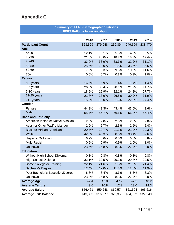# **Appendix C**

| <b>Summary of FERS Demographic Statistics</b> |                                       |          |          |          |          |  |  |  |  |
|-----------------------------------------------|---------------------------------------|----------|----------|----------|----------|--|--|--|--|
|                                               | <b>FERS Fulltime Non-contributing</b> |          |          |          |          |  |  |  |  |
|                                               |                                       |          |          |          |          |  |  |  |  |
|                                               | 2010                                  | 2011     | 2012     | 2013     | 2014     |  |  |  |  |
| <b>Participant Count</b>                      | 323,529                               | 279,948  | 259,894  | 249,699  | 238,470  |  |  |  |  |
| Age                                           |                                       |          |          |          |          |  |  |  |  |
| $=29$                                         | 12.1%                                 | 8.1%     | 5.8%     | 4.5%     | 3.5%     |  |  |  |  |
| 30-39                                         | 21.6%                                 | 20.0%    | 18.7%    | 18.3%    | 17.4%    |  |  |  |  |
| 40-49                                         | 33.0%                                 | 33.9%    | 33.3%    | 32.2%    | 31.1%    |  |  |  |  |
| 50-59                                         | 25.5%                                 | 29.0%    | 31.8%    | 33.6%    | 35.5%    |  |  |  |  |
| 60-69                                         | 7.2%                                  | 8.3%     | 9.6%     | 10.5%    | 11.6%    |  |  |  |  |
| $70+$                                         | 0.6%                                  | 0.7%     | 0.8%     | 0.9%     | 1.0%     |  |  |  |  |
| <b>Tenure</b>                                 |                                       |          |          |          |          |  |  |  |  |
| < 2 years                                     | 16.6%                                 | 6.9%     | 1.4%     | 1.4%     | 1.4%     |  |  |  |  |
| 2-5 years                                     | 26.8%                                 | 30.4%    | 28.1%    | 21.9%    | 14.7%    |  |  |  |  |
| 6-10 years                                    | 18.9%                                 | 19.9%    | 22.1%    | 24.2%    | 27.7%    |  |  |  |  |
| 11-20 years                                   | 21.8%                                 | 23.9%    | 26.8%    | 30.2%    | 31.9%    |  |  |  |  |
| $21 + years$                                  | 15.9%                                 | 19.0%    | 21.6%    | 22.3%    | 24.4%    |  |  |  |  |
| Gender                                        |                                       |          |          |          |          |  |  |  |  |
| Female                                        | 44.3%                                 | 43.3%    | 43.4%    | 43.6%    | 43.6%    |  |  |  |  |
| Male                                          | 55.7%                                 | 56.7%    | 56.6%    | 56.4%    | 56.4%    |  |  |  |  |
| <b>Race and Ethnicity</b>                     |                                       |          |          |          |          |  |  |  |  |
| American Indian or Native Alaskan             | 2.0%                                  | 2.0%     | 2.0%     | 2.0%     | 2.0%     |  |  |  |  |
| Asian or Other Pacific Islander               | 2.9%                                  | 2.7%     | 2.5%     | 2.5%     | 2.4%     |  |  |  |  |
| <b>Black or African American</b>              | 20.7%                                 | 20.7%    | 21.3%    | 21.9%    | 22.3%    |  |  |  |  |
| White                                         | 42.9%                                 | 40.3%    | 38.6%    | 38.4%    | 37.6%    |  |  |  |  |
| Hispanic Or Latino                            | 6.9%                                  | 6.6%     | 6.5%     | 6.8%     | 6.8%     |  |  |  |  |
| Multi-Racial                                  | 0.9%                                  | 0.9%     | 0.9%     | 1.0%     | 1.0%     |  |  |  |  |
| Unknown                                       | 23.6%                                 | 26.8%    | 28.3%    | 27.4%    | 28.0%    |  |  |  |  |
| <b>Education</b>                              |                                       |          |          |          |          |  |  |  |  |
| Without High School Diploma                   | 0.8%                                  | 0.8%     | 0.8%     | 0.8%     | 0.8%     |  |  |  |  |
| <b>High School Diploma</b>                    | 32.1%                                 | 30.5%    | 29.2%    | 29.8%    | 29.5%    |  |  |  |  |
| Some College or Training                      | 22.1%                                 | 21.6%    | 21.5%    | 21.6%    | 21.4%    |  |  |  |  |
| <b>Bachelor's Degree</b>                      | 12.4%                                 | 12.0%    | 11.8%    | 12.0%    | 11.9%    |  |  |  |  |
| Post-Bachelor's Education/Degree              | 8.8%                                  | 8.4%     | 8.3%     | 8.3%     | 8.3%     |  |  |  |  |
| Unknown                                       | 23.8%                                 | 26.8%    | 28.3%    | 27.4%    | 28.0%    |  |  |  |  |
| <b>Average Age</b>                            | 47.4                                  | 47.8     | 47.9     | 47.5     | 48.2     |  |  |  |  |
| <b>Average Tenure</b>                         | 9.6                                   | 10.8     | 12.2     | 13.0     | 14.3     |  |  |  |  |
| <b>Average Salary</b>                         | \$56,461                              | \$59,248 | \$60,574 | \$61,394 | \$63,616 |  |  |  |  |
| <b>Average TSP Balance</b>                    | \$13,333                              | \$16,877 | \$20,355 | \$24,182 | \$27,949 |  |  |  |  |